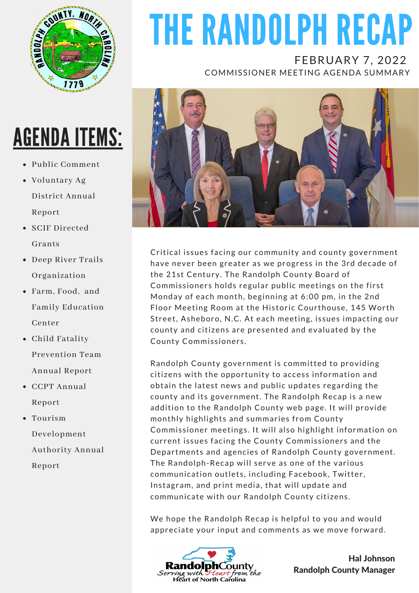

# AGENDA ITEMS:

- Public Comment
- Voluntary Ag District Annual Report
- SCIF Directed Grants
- Deep River Trails Organization
- Farm, Food, and Family Education Center
- Child Fatality Prevention Team Annual Report
- CCPT Annual Report
- Tourism Development Authority Annual Report

# THE RANDOLPH RECAP

FEBRUARY 7, 2022 COMMISSIONER MEETING AGENDA SUMMARY



Critical issues facing our community and county government have never been greater as we progress in the 3rd decade of the 21st Century. The Randolph County Board of Commissioners holds regular public meetings on the first Monday of each month, beginning at 6:00 pm, in the 2nd Floor Meeting Room at the Historic Courthouse, 145 Worth Street, Asheboro, N.C. At each meeting, issues impacting our county and citizens are presented and evaluated by the County Commissioners.

Randolph County government is committed to providing citizens with the opportunity to access information and obtain the latest news and public updates regarding the county and its government. The Randolph Recap is a new addition to the Randolph County web page. It will provide monthly highlights and summaries from County Commissioner meetings. It will also highlight information on current issues facing the County Commissioners and the Departments and agencies of Randolph County government. The Randolph-Recap will serve as one of the various communication outlets, including Facebook, Twitter, Instagram, and print media, that will update and communicate with our Randolph County citizens.

We hope the Randolph Recap is helpful to you and would appreciate your input and comments as we move forward.



Hal Johnson Randolph County Manager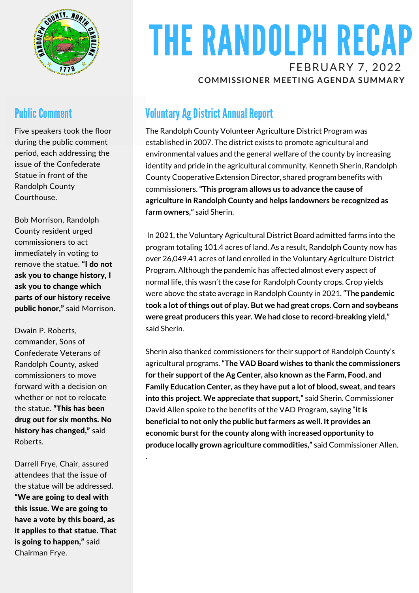

#### **Public Comment**

Five speakers took the floor during the public comment period, each addressing the issue of the Confederate Statue in front of the Randolph County Courthouse.

Bob Morrison, Randolph County resident urged commissioners to act immediately in voting to remove the statue. "I do not ask you to change history, I ask you to change which parts of our history receive public honor," said Morrison.

Dwain P. Roberts, commander, Sons of Confederate Veterans of Randolph County, asked commissioners to move forward with a decision on whether or not to relocate the statue. "This has been drug out for six months. No history has changed," said Roberts.

Darrell Frye, Chair, assured attendees that the issue of the statue will be addressed. "We are going to deal with this issue. We are going to have a vote by this board, as it applies to that statue. That is going to happen," said Chairman Frye.

.

# THE RANDOLPH RECAP FEBRUARY 7, 2022

**COMMISSIONER MEETING AGENDA SUMMARY**

#### **Voluntary Ag District Annual Report**

The Randolph County Volunteer Agriculture District Program was established in 2007. The district exists to promote agricultural and environmental values and the general welfare of the county by increasing identity and pride in the agricultural community. Kenneth Sherin, Randolph County Cooperative Extension Director, shared program benefits with commissioners.**"This program allows us to advance the cause of agriculture in Randolph County and helps landowners be recognized as farm owners,"** said Sherin.

In 2021, the Voluntary Agricultural District Board admitted farms into the program totaling 101.4 acres of land. As a result, Randolph County now has over 26,049.41 acres of land enrolled in the Voluntary Agriculture District Program. Although the pandemic has affected almost every aspect of normal life, this wasn't the case for Randolph County crops. Crop yields were above the state average in Randolph County in 2021.**"The pandemic took a lot ofthings out of play. But we had great crops. Corn and soybeans were great producers this year. We had close to record-breaking yield,"** said Sherin.

Sherin also thanked commissioners for their support of Randolph County's agricultural programs.**"The VAD Board wishes to thank the commissioners for their support ofthe Ag Center, also known as the Farm, Food, and Family Education Center, as they have put a lot of blood, sweat, and tears into this project. We appreciate that support,"** said Sherin. Commissioner David Allen spoke to the benefits of the VAD Program, saying "**itis beneficialto not only the public butfarmers as well. It provides an economic burstfor the county along with increased opportunity to produce locally grown agriculture commodities,"** said Commissioner Allen.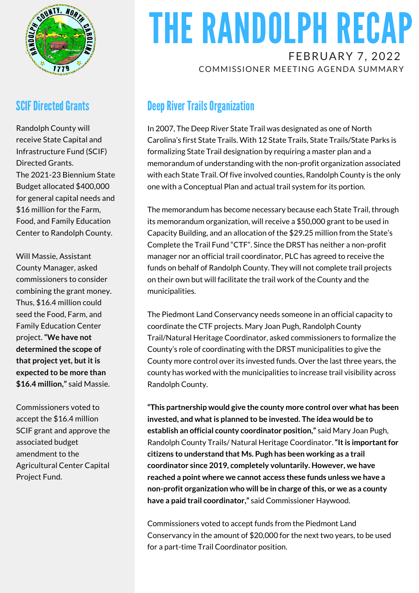

#### **SCIF Directed Grants**

Randolph County will receive State Capital and Infrastructure Fund (SCIF) Directed Grants. The 2021-23 Biennium State Budget allocated \$400,000 for general capital needs and \$16 million for the Farm, Food, and Family Education Center to Randolph County.

Will Massie, Assistant County Manager, asked commissioners to consider combining the grant money. Thus, \$16.4 million could seed the Food, Farm, and Family Education Center project. **"We have not determined the scope of that project yet, but it is expected to be more than \$16.4 million,"** said Massie.

Commissioners voted to accept the \$16.4 million SCIF grant and approve the associated budget amendment to the Agricultural Center Capital Project Fund.

## THE RANDOLPH RECAP FEBRUARY 7, 2022

COMMISSIONER MEETING AGENDA SUMMARY

#### **Deep River Trails Organization**

In 2007, The Deep River State Trail was designated as one of North Carolina's first State Trails. With 12 State Trails, State Trails/State Parks is formalizing State Trail designation by requiring a master plan and a memorandum of understanding with the non-profit organization associated with each State Trail. Of five involved counties, Randolph County is the only one with a Conceptual Plan and actual trail system for its portion.

The memorandum has become necessary because each State Trail, through its memorandum organization, will receive a \$50,000 grant to be used in Capacity Building, and an allocation of the \$29.25 million from the State's Complete the Trail Fund "CTF". Since the DRST has neither a non-profit manager nor an official trail coordinator, PLC has agreed to receive the funds on behalf of Randolph County. They will not complete trail projects on their own but will facilitate the trail work of the County and the municipalities.

The Piedmont Land Conservancy needs someone in an official capacity to coordinate the CTF projects. Mary Joan Pugh, Randolph County Trail/Natural Heritage Coordinator, asked commissioners to formalize the County's role of coordinating with the DRST municipalities to give the County more control over its invested funds. Over the last three years, the county has worked with the municipalities to increase trail visibility across Randolph County.

**"This partnership would give the county more control over what has been invested, and whatis planned to be invested. The idea would be to establish an official county coordinator position,"** said Mary Joan Pugh, Randolph County Trails/ Natural Heritage Coordinator. "It is important for **citizens to understand that Ms. Pugh has been working as a trail coordinator since 2019, completely voluntarily. However, we have reached a point where we cannot access these funds unless we have a non-profit organization who will be in charge ofthis, or we as a county have a paid trail coordinator,"** said Commissioner Haywood.

Commissioners voted to accept funds from the Piedmont Land Conservancy in the amount of \$20,000 for the next two years, to be used for a part-time Trail Coordinator position.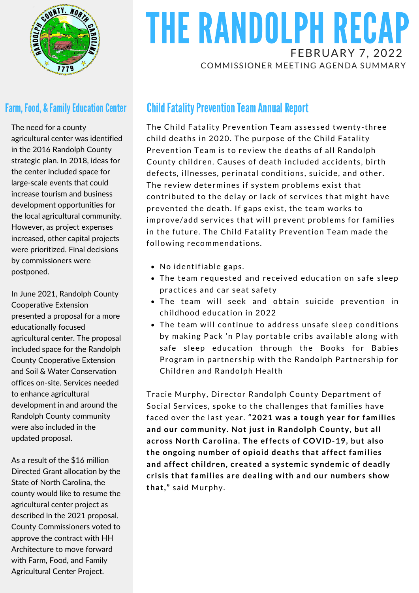

#### **Farm, Food, & Family Education Center**

The need for a county agricultural center was identified in the 2016 Randolph County strategic plan. In 2018, ideas for the center included space for large-scale events that could increase tourism and business development opportunities for the local agricultural community. However, as project expenses increased, other capital projects were prioritized. Final decisions by commissioners were postponed.

In June 2021, Randolph County Cooperative Extension presented a proposal for a more educationally focused agricultural center. The proposal included space for the Randolph County Cooperative Extension and Soil & Water Conservation offices on-site. Services needed to enhance agricultural development in and around the Randolph County community were also included in the updated proposal.

As a result of the \$16 million Directed Grant allocation by the State of North Carolina, the county would like to resume the agricultural center project as described in the 2021 proposal. County Commissioners voted to approve the contract with HH Architecture to move forward with Farm, Food, and Family Agricultural Center Project.

### THE RANDOLPH RECAP FEBRUARY 7, 2022 COMMISSIONER MEETING AGENDA SUMMARY

#### **Child Fatality Prevention Team Annual Report**

The Child Fatality Prevention Team assessed twenty-three child deaths in 2020. The purpose of the Child Fatality Prevention Team is to review the deaths of all Randolph County children. Causes of death included accidents, birth defects, illnesses, perinatal conditions, suicide, and other. The review determines if system problems exist that contributed to the delay or lack of services that might have prevented the death. If gaps exist, the team works to improve/add services that will prevent problems for families in the future. The Child Fatality Prevention Team made the following recommendations.

- No identifiable gaps.
- The team requested and received education on safe sleep practices and car seat safety
- The team will seek and obtain suicide prevention in childhood education in 2022
- The team will continue to address unsafe sleep conditions by making Pack 'n Play portable cribs available along with safe sleep education through the Books for Babies Program in partnership with the Randolph Partnership for Children and Randolph Health

Tracie Murphy, Director Randolph County Department of Social Services, spoke to the challenges that families have faced over the last year. **"2021 was a tough year for families and our community. Not just in Randolph County, but all across North Carolina. The effects of COVID-19, but also the ongoing number of opioid deaths that affect families and affect children, created a systemic syndemic of deadly crisis that families are dealing with and our numbers show that,"** said Murphy.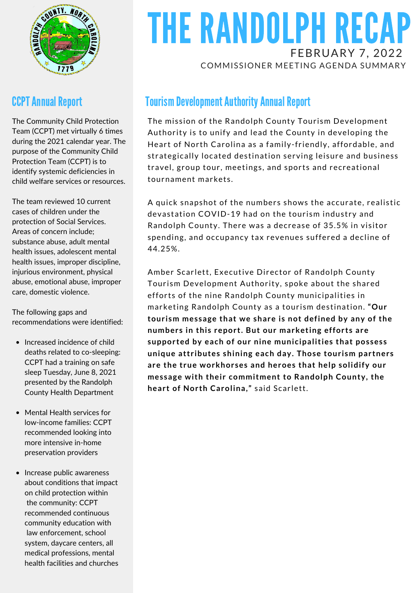

#### **CCPT Annual Report**

The Community Child Protection Team (CCPT) met virtually 6 times during the 2021 calendar year. The purpose of the Community Child Protection Team (CCPT) is to identify systemic deficiencies in child welfare services or resources.

The team reviewed 10 current cases of children under the protection of Social Services. Areas of concern include; substance abuse, adult mental health issues, adolescent mental health issues, improper discipline, injurious environment, physical abuse, emotional abuse, improper care, domestic violence.

The following gaps and recommendations were identified:

- Increased incidence of child deaths related to co-sleeping: CCPT had a training on safe sleep Tuesday, June 8, 2021 presented by the Randolph County Health Department
- Mental Health services for low-income families: CCPT recommended looking into more intensive in-home preservation providers
- Increase public awareness about conditions that impact on child protection within the community: CCPT recommended continuous community education with law enforcement, school system, daycare centers, all medical professions, mental health facilities and churches

### THE RANDOLPH RECAP FEBRUARY 7, 2022 COMMISSIONER MEETING AGENDA SUMMARY

#### **Tourism Development Authority Annual Report**

The mission of the Randolph County Tourism Development Authority is to unify and lead the County in developing the Heart of North Carolina as a family-friendly, affordable, and strategically located destination serving leisure and business travel, group tour, meetings, and sports and recreational tournament markets.

A quick snapshot of the numbers shows the accurate, realistic devastation COVID-19 had on the tourism industry and Randolph County. There was a decrease of 35.5% in visitor spending, and occupancy tax revenues suffered a decline of 44.25%.

Amber Scarlett, Executive Director of Randolph County Tourism Development Authority, spoke about the shared efforts of the nine Randolph County municipalities in marketing Randolph County as a tourism destination. **"Our tourism message that we share is not defined by any of the numbers in this report. But our marketing efforts are supported by each of our nine municipalities that possess unique attributes shining each day. Those tourism partners are the true workhorses and heroes that help solidify our message with their commitment to Randolph County, the heart of North Carolina,"** said Scarlett.